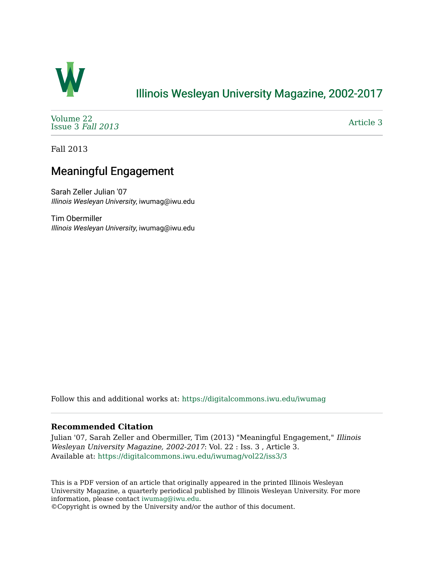

## [Illinois Wesleyan University Magazine, 2002-2017](https://digitalcommons.iwu.edu/iwumag)

[Volume 22](https://digitalcommons.iwu.edu/iwumag/vol22)  [Issue 3](https://digitalcommons.iwu.edu/iwumag/vol22/iss3) Fall 2013

[Article 3](https://digitalcommons.iwu.edu/iwumag/vol22/iss3/3) 

Fall 2013

# Meaningful Engagement

Sarah Zeller Julian '07 Illinois Wesleyan University, iwumag@iwu.edu

Tim Obermiller Illinois Wesleyan University, iwumag@iwu.edu

Follow this and additional works at: [https://digitalcommons.iwu.edu/iwumag](https://digitalcommons.iwu.edu/iwumag?utm_source=digitalcommons.iwu.edu%2Fiwumag%2Fvol22%2Fiss3%2F3&utm_medium=PDF&utm_campaign=PDFCoverPages) 

### **Recommended Citation**

Julian '07, Sarah Zeller and Obermiller, Tim (2013) "Meaningful Engagement," Illinois Wesleyan University Magazine, 2002-2017: Vol. 22 : Iss. 3 , Article 3. Available at: [https://digitalcommons.iwu.edu/iwumag/vol22/iss3/3](https://digitalcommons.iwu.edu/iwumag/vol22/iss3/3?utm_source=digitalcommons.iwu.edu%2Fiwumag%2Fvol22%2Fiss3%2F3&utm_medium=PDF&utm_campaign=PDFCoverPages)

This is a PDF version of an article that originally appeared in the printed Illinois Wesleyan University Magazine, a quarterly periodical published by Illinois Wesleyan University. For more information, please contact [iwumag@iwu.edu](mailto:iwumag@iwu.edu).

©Copyright is owned by the University and/or the author of this document.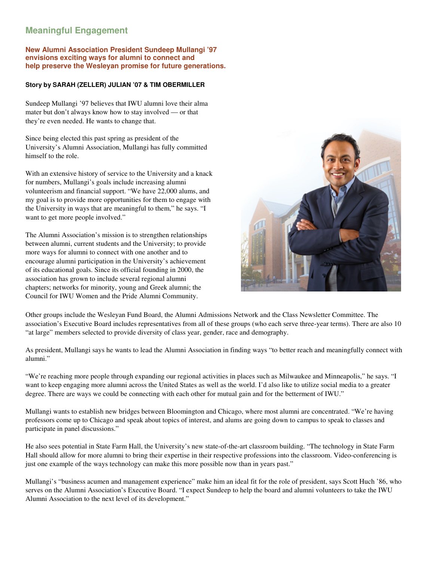## **Meaningful Engagement**

### **New Alumni Association President Sundeep Mullangi '97 envisions exciting ways for alumni to connect and help preserve the Wesleyan promise for future generations.**

### **Story by SARAH (ZELLER) JULIAN '07 & TIM OBERMILLER**

Sundeep Mullangi '97 believes that IWU alumni love their alma mater but don't always know how to stay involved — or that they're even needed. He wants to change that.

Since being elected this past spring as president of the University's Alumni Association, Mullangi has fully committed himself to the role.

With an extensive history of service to the University and a knack for numbers, Mullangi's goals include increasing alumni volunteerism and financial support. "We have 22,000 alums, and my goal is to provide more opportunities for them to engage with the University in ways that are meaningful to them," he says. "I want to get more people involved."

The Alumni Association's mission is to strengthen relationships between alumni, current students and the University; to provide more ways for alumni to connect with one another and to encourage alumni participation in the University's achievement of its educational goals. Since its official founding in 2000, the association has grown to include several regional alumni chapters; networks for minority, young and Greek alumni; the Council for IWU Women and the Pride Alumni Community.



Other groups include the Wesleyan Fund Board, the Alumni Admissions Network and the Class Newsletter Committee. The association's Executive Board includes representatives from all of these groups (who each serve three-year terms). There are also 10 "at large" members selected to provide diversity of class year, gender, race and demography.

As president, Mullangi says he wants to lead the Alumni Association in finding ways "to better reach and meaningfully connect with alumni."

"We're reaching more people through expanding our regional activities in places such as Milwaukee and Minneapolis," he says. "I want to keep engaging more alumni across the United States as well as the world. I'd also like to utilize social media to a greater degree. There are ways we could be connecting with each other for mutual gain and for the betterment of IWU."

Mullangi wants to establish new bridges between Bloomington and Chicago, where most alumni are concentrated. "We're having professors come up to Chicago and speak about topics of interest, and alums are going down to campus to speak to classes and participate in panel discussions."

He also sees potential in State Farm Hall, the University's new state-of-the-art classroom building. "The technology in State Farm Hall should allow for more alumni to bring their expertise in their respective professions into the classroom. Video-conferencing is just one example of the ways technology can make this more possible now than in years past."

Mullangi's "business acumen and management experience" make him an ideal fit for the role of president, says Scott Huch '86, who serves on the Alumni Association's Executive Board. "I expect Sundeep to help the board and alumni volunteers to take the IWU Alumni Association to the next level of its development."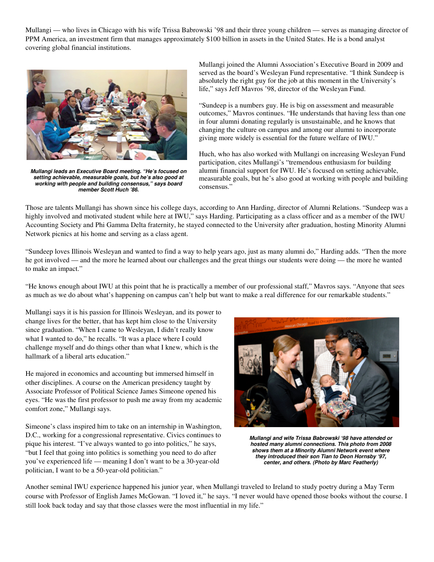Mullangi — who lives in Chicago with his wife Trissa Babrowski '98 and their three young children — serves as managing director of PPM America, an investment firm that manages approximately \$100 billion in assets in the United States. He is a bond analyst covering global financial institutions.



**Mullangi leads an Executive Board meeting. "He's focused on setting achievable, measurable goals, but he's also good at working with people and building consensus," says board member Scott Huch '86.**

Mullangi joined the Alumni Association's Executive Board in 2009 and served as the board's Wesleyan Fund representative. "I think Sundeep is absolutely the right guy for the job at this moment in the University's life," says Jeff Mavros '98, director of the Wesleyan Fund.

"Sundeep is a numbers guy. He is big on assessment and measurable outcomes," Mavros continues. "He understands that having less than one in four alumni donating regularly is unsustainable, and he knows that changing the culture on campus and among our alumni to incorporate giving more widely is essential for the future welfare of IWU."

Huch, who has also worked with Mullangi on increasing Wesleyan Fund participation, cites Mullangi's "tremendous enthusiasm for building alumni financial support for IWU. He's focused on setting achievable, measurable goals, but he's also good at working with people and building consensus."

Those are talents Mullangi has shown since his college days, according to Ann Harding, director of Alumni Relations. "Sundeep was a highly involved and motivated student while here at IWU," says Harding. Participating as a class officer and as a member of the IWU Accounting Society and Phi Gamma Delta fraternity, he stayed connected to the University after graduation, hosting Minority Alumni Network picnics at his home and serving as a class agent.

"Sundeep loves Illinois Wesleyan and wanted to find a way to help years ago, just as many alumni do," Harding adds. "Then the more he got involved — and the more he learned about our challenges and the great things our students were doing — the more he wanted to make an impact."

"He knows enough about IWU at this point that he is practically a member of our professional staff," Mavros says. "Anyone that sees as much as we do about what's happening on campus can't help but want to make a real difference for our remarkable students."

Mullangi says it is his passion for Illinois Wesleyan, and its power to change lives for the better, that has kept him close to the University since graduation. "When I came to Wesleyan, I didn't really know what I wanted to do," he recalls. "It was a place where I could challenge myself and do things other than what I knew, which is the hallmark of a liberal arts education."

He majored in economics and accounting but immersed himself in other disciplines. A course on the American presidency taught by Associate Professor of Political Science James Simeone opened his eyes. "He was the first professor to push me away from my academic comfort zone," Mullangi says.

Simeone's class inspired him to take on an internship in Washington, D.C., working for a congressional representative. Civics continues to pique his interest. "I've always wanted to go into politics," he says, "but I feel that going into politics is something you need to do after you've experienced life — meaning I don't want to be a 30-year-old politician, I want to be a 50-year-old politician."



**Mullangi and wife Trissa Babrowski '98 have attended or hosted many alumni connections. This photo from 2008 shows them at a Minority Alumni Network event where they introduced their son Tian to Deon Hornsby '97, center, and others. (Photo by Marc Featherly)**

Another seminal IWU experience happened his junior year, when Mullangi traveled to Ireland to study poetry during a May Term course with Professor of English James McGowan. "I loved it," he says. "I never would have opened those books without the course. I still look back today and say that those classes were the most influential in my life."